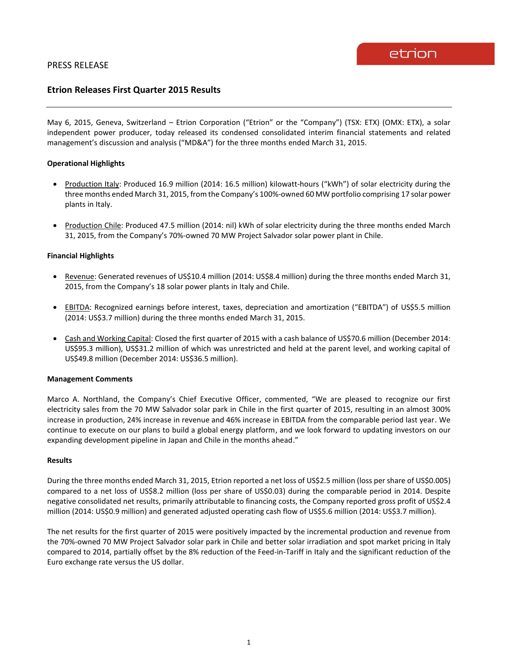# **Etrion Releases First Quarter 2015 Results**

May 6, 2015, Geneva, Switzerland – Etrion Corporation ("Etrion" or the "Company") (TSX: ETX) (OMX: ETX), a solar independent power producer, today released its condensed consolidated interim financial statements and related management's discussion and analysis ("MD&A") for the three months ended March 31, 2015.

# **Operational Highlights**

- Production Italy: Produced 16.9 million (2014: 16.5 million) kilowatt-hours ("kWh") of solar electricity during the three months ended March 31, 2015, from the Company's 100%-owned 60 MW portfolio comprising 17 solar power plants in Italy.
- Production Chile: Produced 47.5 million (2014: nil) kWh of solar electricity during the three months ended March 31, 2015, from the Company's 70%-owned 70 MW Project Salvador solar power plant in Chile.

## **Financial Highlights**

- Revenue: Generated revenues of US\$10.4 million (2014: US\$8.4 million) during the three months ended March 31, 2015, from the Company's 18 solar power plants in Italy and Chile.
- EBITDA: Recognized earnings before interest, taxes, depreciation and amortization ("EBITDA") of US\$5.5 million (2014: US\$3.7 million) during the three months ended March 31, 2015.
- Cash and Working Capital: Closed the first quarter of 2015 with a cash balance of US\$70.6 million (December 2014: US\$95.3 million), US\$31.2 million of which was unrestricted and held at the parent level, and working capital of US\$49.8 million (December 2014: US\$36.5 million).

## **Management Comments**

Marco A. Northland, the Company's Chief Executive Officer, commented, "We are pleased to recognize our first electricity sales from the 70 MW Salvador solar park in Chile in the first quarter of 2015, resulting in an almost 300% increase in production, 24% increase in revenue and 46% increase in EBITDA from the comparable period last year. We continue to execute on our plans to build a global energy platform, and we look forward to updating investors on our expanding development pipeline in Japan and Chile in the months ahead."

## **Results**

During the three months ended March 31, 2015, Etrion reported a net loss of US\$2.5 million (loss per share of US\$0.005) compared to a net loss of US\$8.2 million (loss per share of US\$0.03) during the comparable period in 2014. Despite negative consolidated net results, primarily attributable to financing costs, the Company reported gross profit of US\$2.4 million (2014: US\$0.9 million) and generated adjusted operating cash flow of US\$5.6 million (2014: US\$3.7 million).

The net results for the first quarter of 2015 were positively impacted by the incremental production and revenue from the 70%-owned 70 MW Project Salvador solar park in Chile and better solar irradiation and spot market pricing in Italy compared to 2014, partially offset by the 8% reduction of the Feed-in-Tariff in Italy and the significant reduction of the Euro exchange rate versus the US dollar.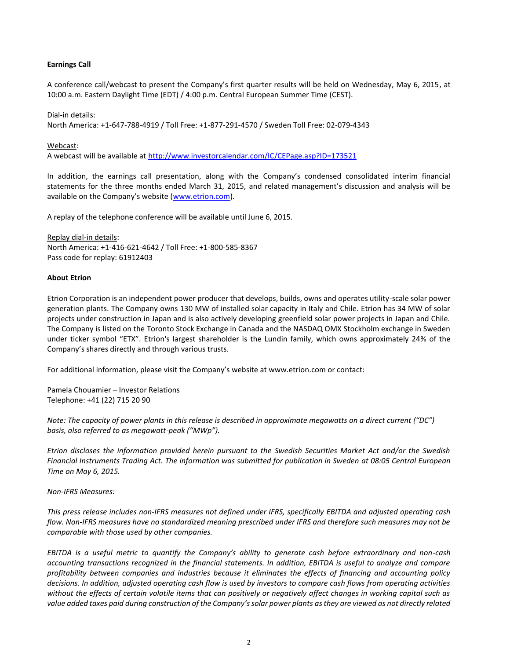# **Earnings Call**

A conference call/webcast to present the Company's first quarter results will be held on Wednesday, May 6, 2015, at 10:00 a.m. Eastern Daylight Time (EDT) / 4:00 p.m. Central European Summer Time (CEST).

## Dial-in details:

North America: +1-647-788-4919 / Toll Free: +1-877-291-4570 / Sweden Toll Free: 02-079-4343

#### Webcast:

A webcast will be available at<http://www.investorcalendar.com/IC/CEPage.asp?ID=173521>

In addition, the earnings call presentation, along with the Company's condensed consolidated interim financial statements for the three months ended March 31, 2015, and related management's discussion and analysis will be available on the Company's website ([www.etrion.com\)](http://www.etrion.com/).

A replay of the telephone conference will be available until June 6, 2015.

Replay dial-in details: North America: +1-416-621-4642 / Toll Free: +1-800-585-8367 Pass code for replay: 61912403

#### **About Etrion**

Etrion Corporation is an independent power producer that develops, builds, owns and operates utility-scale solar power generation plants. The Company owns 130 MW of installed solar capacity in Italy and Chile. Etrion has 34 MW of solar projects under construction in Japan and is also actively developing greenfield solar power projects in Japan and Chile. The Company is listed on the Toronto Stock Exchange in Canada and the NASDAQ OMX Stockholm exchange in Sweden under ticker symbol "ETX". Etrion's largest shareholder is the Lundin family, which owns approximately 24% of the Company's shares directly and through various trusts.

For additional information, please visit the Company's website at www.etrion.com or contact:

Pamela Chouamier – Investor Relations Telephone: +41 (22) 715 20 90

*Note: The capacity of power plants in this release is described in approximate megawatts on a direct current ("DC") basis, also referred to as megawatt-peak ("MWp").*

*Etrion discloses the information provided herein pursuant to the Swedish Securities Market Act and/or the Swedish Financial Instruments Trading Act. The information was submitted for publication in Sweden at 08:05 Central European Time on May 6, 2015.*

*Non-IFRS Measures:*

*This press release includes non-IFRS measures not defined under IFRS, specifically EBITDA and adjusted operating cash flow. Non-IFRS measures have no standardized meaning prescribed under IFRS and therefore such measures may not be comparable with those used by other companies.* 

*EBITDA is a useful metric to quantify the Company's ability to generate cash before extraordinary and non-cash accounting transactions recognized in the financial statements. In addition, EBITDA is useful to analyze and compare profitability between companies and industries because it eliminates the effects of financing and accounting policy decisions. In addition, adjusted operating cash flow is used by investors to compare cash flows from operating activities without the effects of certain volatile items that can positively or negatively affect changes in working capital such as value added taxes paid during construction of the Company's solar power plants as they are viewed as not directly related*